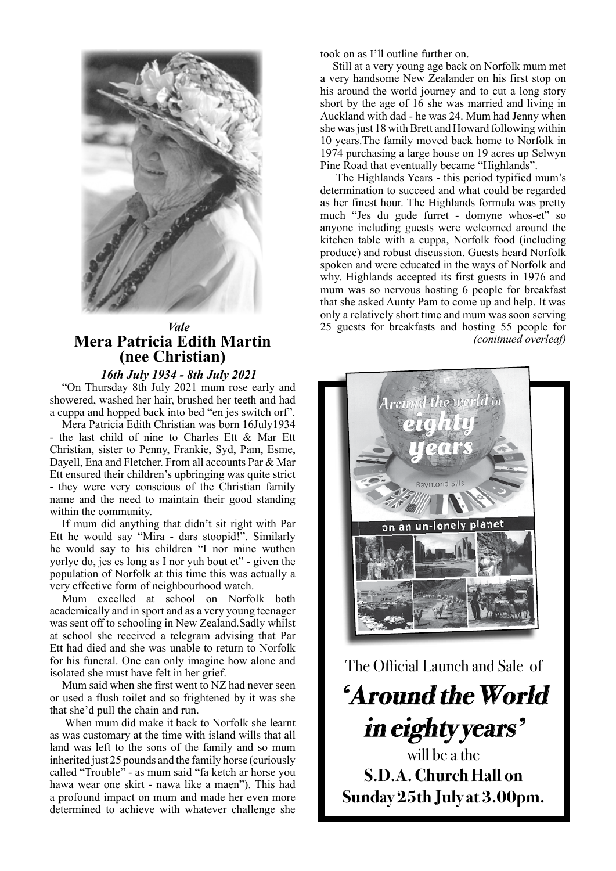

### *Vale* **Mera Patricia Edith Martin (nee Christian)**

*16th July 1934 - 8th July 2021*

"On Thursday 8th July 2021 mum rose early and showered, washed her hair, brushed her teeth and had a cuppa and hopped back into bed "en jes switch orf".

Mera Patricia Edith Christian was born 16July1934 - the last child of nine to Charles Ett & Mar Ett Christian, sister to Penny, Frankie, Syd, Pam, Esme, Dayell, Ena and Fletcher. From all accounts Par & Mar Ett ensured their children's upbringing was quite strict - they were very conscious of the Christian family name and the need to maintain their good standing within the community.

If mum did anything that didn't sit right with Par Ett he would say "Mira - dars stoopid!". Similarly he would say to his children "I nor mine wuthen yorlye do, jes es long as I nor yuh bout et" - given the population of Norfolk at this time this was actually a very effective form of neighbourhood watch.

Mum excelled at school on Norfolk both academically and in sport and as a very young teenager was sent off to schooling in New Zealand.Sadly whilst at school she received a telegram advising that Par Ett had died and she was unable to return to Norfolk for his funeral. One can only imagine how alone and isolated she must have felt in her grief.

Mum said when she first went to NZ had never seen or used a flush toilet and so frightened by it was she that she'd pull the chain and run.

 When mum did make it back to Norfolk she learnt as was customary at the time with island wills that all land was left to the sons of the family and so mum inherited just 25 pounds and the family horse (curiously called "Trouble" - as mum said "fa ketch ar horse you hawa wear one skirt - nawa like a maen"). This had a profound impact on mum and made her even more determined to achieve with whatever challenge she

took on as I'll outline further on.

Still at a very young age back on Norfolk mum met a very handsome New Zealander on his first stop on his around the world journey and to cut a long story short by the age of 16 she was married and living in Auckland with dad - he was 24. Mum had Jenny when she was just 18 with Brett and Howard following within 10 years.The family moved back home to Norfolk in 1974 purchasing a large house on 19 acres up Selwyn Pine Road that eventually became "Highlands".

 The Highlands Years - this period typified mum's determination to succeed and what could be regarded as her finest hour. The Highlands formula was pretty much "Jes du gude furret - domyne whos-et" so anyone including guests were welcomed around the kitchen table with a cuppa, Norfolk food (including produce) and robust discussion. Guests heard Norfolk spoken and were educated in the ways of Norfolk and why. Highlands accepted its first guests in 1976 and mum was so nervous hosting 6 people for breakfast that she asked Aunty Pam to come up and help. It was only a relatively short time and mum was soon serving 25 guests for breakfasts and hosting 55 people for *(conitnued overleaf)*



The Official Launch and Sale of

**'Around the World in eighty years'** 

will be a the **S.D.A. Church Hall on Sunday 25th July at 3.00pm.**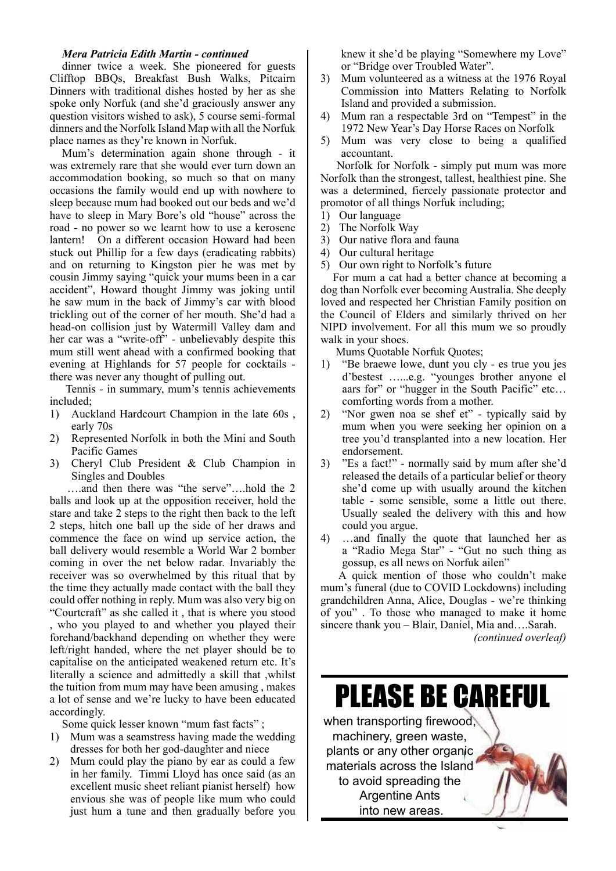#### *Mera Patricia Edith Martin - continued*

dinner twice a week. She pioneered for guests Clifftop BBQs, Breakfast Bush Walks, Pitcairn Dinners with traditional dishes hosted by her as she spoke only Norfuk (and she'd graciously answer any question visitors wished to ask), 5 course semi-formal dinners and the Norfolk Island Map with all the Norfuk place names as they're known in Norfuk.

Mum's determination again shone through - it was extremely rare that she would ever turn down an accommodation booking, so much so that on many occasions the family would end up with nowhere to sleep because mum had booked out our beds and we'd have to sleep in Mary Bore's old "house" across the road - no power so we learnt how to use a kerosene lantern! On a different occasion Howard had been stuck out Phillip for a few days (eradicating rabbits) and on returning to Kingston pier he was met by cousin Jimmy saying "quick your mums been in a car accident", Howard thought Jimmy was joking until he saw mum in the back of Jimmy's car with blood trickling out of the corner of her mouth. She'd had a head-on collision just by Watermill Valley dam and her car was a "write-off" - unbelievably despite this mum still went ahead with a confirmed booking that evening at Highlands for 57 people for cocktails there was never any thought of pulling out.

 Tennis - in summary, mum's tennis achievements included;

- 1) Auckland Hardcourt Champion in the late 60s , early 70s
- 2) Represented Norfolk in both the Mini and South Pacific Games
- 3) Cheryl Club President & Club Champion in Singles and Doubles

 ….and then there was "the serve"….hold the 2 balls and look up at the opposition receiver, hold the stare and take 2 steps to the right then back to the left 2 steps, hitch one ball up the side of her draws and commence the face on wind up service action, the ball delivery would resemble a World War 2 bomber coming in over the net below radar. Invariably the receiver was so overwhelmed by this ritual that by the time they actually made contact with the ball they could offer nothing in reply. Mum was also very big on "Courtcraft" as she called it , that is where you stood , who you played to and whether you played their forehand/backhand depending on whether they were left/right handed, where the net player should be to capitalise on the anticipated weakened return etc. It's literally a science and admittedly a skill that ,whilst the tuition from mum may have been amusing , makes a lot of sense and we're lucky to have been educated accordingly.

Some quick lesser known "mum fast facts" ;

- 1) Mum was a seamstress having made the wedding dresses for both her god-daughter and niece
- 2) Mum could play the piano by ear as could a few in her family. Timmi Lloyd has once said (as an excellent music sheet reliant pianist herself) how envious she was of people like mum who could just hum a tune and then gradually before you

knew it she'd be playing "Somewhere my Love" or "Bridge over Troubled Water".

- 3) Mum volunteered as a witness at the 1976 Royal Commission into Matters Relating to Norfolk Island and provided a submission.
- 4) Mum ran a respectable 3rd on "Tempest" in the 1972 New Year's Day Horse Races on Norfolk
- 5) Mum was very close to being a qualified accountant.

 Norfolk for Norfolk - simply put mum was more Norfolk than the strongest, tallest, healthiest pine. She was a determined, fiercely passionate protector and promotor of all things Norfuk including;

- 1) Our language
- 2) The Norfolk Way
- 3) Our native flora and fauna
- 4) Our cultural heritage
- 5) Our own right to Norfolk's future

For mum a cat had a better chance at becoming a dog than Norfolk ever becoming Australia. She deeply loved and respected her Christian Family position on the Council of Elders and similarly thrived on her NIPD involvement. For all this mum we so proudly walk in your shoes.

Mums Quotable Norfuk Quotes;

- 1) "Be braewe lowe, dunt you cly es true you jes d'bestest …...e.g. "younges brother anyone el aars for" or "hugger in the South Pacific" etc… comforting words from a mother.
- 2) "Nor gwen noa se shef et" typically said by mum when you were seeking her opinion on a tree you'd transplanted into a new location. Her endorsement.
- 3) "Es a fact!" normally said by mum after she'd released the details of a particular belief or theory she'd come up with usually around the kitchen table - some sensible, some a little out there. Usually sealed the delivery with this and how could you argue.
- 4) …and finally the quote that launched her as a "Radio Mega Star" - "Gut no such thing as gossup, es all news on Norfuk ailen"

 A quick mention of those who couldn't make mum's funeral (due to COVID Lockdowns) including grandchildren Anna, Alice, Douglas - we're thinking of you" . To those who managed to make it home sincere thank you – Blair, Daniel, Mia and….Sarah.

*(continued overleaf)*